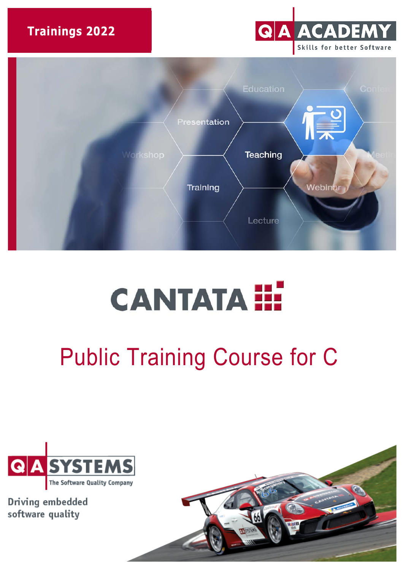**Trainings 2022** 





# **CANTATA !!!**

## Public Training Course for C



Driving embedded software quality

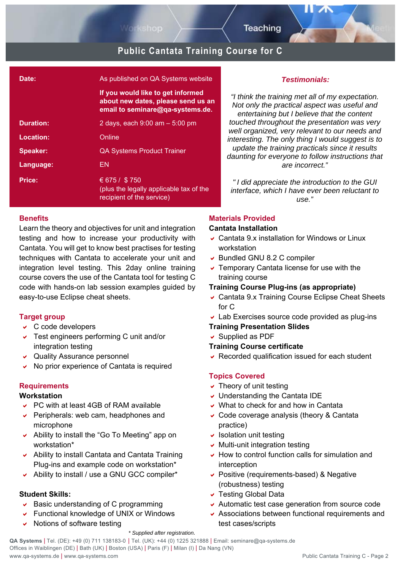

## **Public Cantata Training Course for C**

| Date:            | As published on QA Systems website                                                                          |
|------------------|-------------------------------------------------------------------------------------------------------------|
|                  | If you would like to get informed<br>about new dates, please send us an<br>email to seminare@qa-systems.de. |
| <b>Duration:</b> | 2 days, each $9:00$ am $-5:00$ pm                                                                           |
| Location:        | Online                                                                                                      |
| Speaker:         | <b>QA Systems Product Trainer</b>                                                                           |
| Language:        | EN                                                                                                          |
| Price:           | € 675 / \$750<br>(plus the legally applicable tax of the<br>recipient of the service)                       |

#### **Benefits**

Learn the theory and objectives for unit and integration testing and how to increase your productivity with Cantata. You will get to know best practises for testing techniques with Cantata to accelerate your unit and integration level testing. This 2day online training course covers the use of the Cantata tool for testing C code with hands-on lab session examples guided by easy-to-use Eclipse cheat sheets.

#### **Target group**

- $\vee$  C code developers
- Test engineers performing C unit and/or integration testing
- Quality Assurance personnel
- No prior experience of Cantata is required

#### **Requirements**

#### **Workstation**

- PC with at least 4GB of RAM available
- $\triangleright$  Peripherals: web cam, headphones and microphone
- Ability to install the "Go To Meeting" app on workstation\*
- Ability to install Cantata and Cantata Training Plug-ins and example code on workstation\*
- Ability to install / use a GNU GCC compiler\*

### **Student Skills:**

- $\triangleright$  Basic understanding of C programming
- Functional knowledge of UNIX or Windows
- $\vee$  Notions of software testing

#### *Testimonials:*

*"I think the training met all of my expectation. Not only the practical aspect was useful and entertaining but I believe that the content touched throughout the presentation was very well organized, very relevant to our needs and interesting. The only thing I would suggest is to update the training practicals since it results daunting for everyone to follow instructions that are incorrect."* 

*" I did appreciate the introduction to the GUI interface, which I have ever been reluctant to use."*

#### **Materials Provided**

#### **Cantata Installation**

- Cantata 9.x installation for Windows or Linux workstation
- ▼ Bundled GNU 8.2 C compiler
- $\overline{\phantom{a}}$  Temporary Cantata license for use with the training course

#### **Training Course Plug-ins (as appropriate)**

- Cantata 9.x Training Course Eclipse Cheat Sheets for C
- Lab Exercises source code provided as plug-ins

#### **Training Presentation Slides**

 $\overline{\smash{\mathsf{S}}}$  Supplied as PDF

#### **Training Course certificate**

Recorded qualification issued for each student

#### **Topics Covered**

- $\overline{\phantom{a}}$  Theory of unit testing
- Understanding the Cantata IDE
- What to check for and how in Cantata
- Code coverage analysis (theory & Cantata practice)
- $\overline{\phantom{a}}$  Isolation unit testing
- $\vee$  Multi-unit integration testing
- $\vee$  How to control function calls for simulation and interception
- Positive (requirements-based) & Negative (robustness) testing
- Testing Global Data
- Automatic test case generation from source code
- Associations between functional requirements and test cases/scripts

#### *\* Supplied after registration.*

**QA Systems** | Tel. (DE): +49 (0) 711 138183-0 | Tel. (UK): +44 (0) 1225 321888 | Email: [seminare@qa-systems.de](mailto:seminare@qa-systems.de) Offices in Waiblingen (DE) | Bath (UK) | Boston (USA) | Paris (F) | Milan (I) | Da Nang (VN) www.qa-systems.de | www.qa-systems.com Public Cantata Training C - Page 2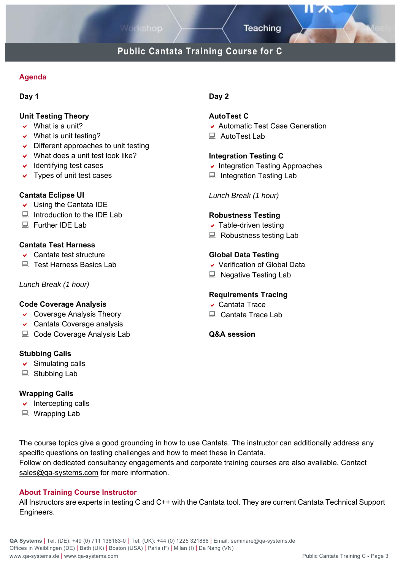## **Public Cantata Training Course for C**

#### **Agenda**

#### **Day 1**

#### **Unit Testing Theory**

- $\vee$  What is a unit?
- $\vee$  What is unit testing?
- $\triangleright$  Different approaches to unit testing
- What does a unit test look like?
- $\overline{\phantom{a}}$  Identifying test cases
- $\vee$  Types of unit test cases

#### **Cantata Eclipse UI**

- $\vee$  Using the Cantata IDE
- $\Box$  Introduction to the IDE Lab
- Further IDF Lab

#### **Cantata Test Harness**

- Cantata test structure
- Test Harness Basics Lab

#### *Lunch Break (1 hour)*

#### **Code Coverage Analysis**

- Coverage Analysis Theory
- Cantata Coverage analysis
- Code Coverage Analysis Lab

#### **Stubbing Calls**

- $\triangleright$  Simulating calls
- Stubbing Lab

#### **Wrapping Calls**

- $\overline{\phantom{a}}$  Intercepting calls
- Wrapping Lab

#### The course topics give a good grounding in how to use Cantata. The instructor can additionally address any specific questions on testing challenges and how to meet these in Cantata. Follow on dedicated consultancy engagements and corporate training courses are also available. Contact sales@qa-systems.com for more information.

#### **About Training Course Instructor**

All Instructors are experts in testing C and C++ with the Cantata tool. They are current Cantata Technical Support Engineers.

## **Day 2**

#### **AutoTest C**

- Automatic Test Case Generation
- AutoTest Lab

#### **Integration Testing C**

- $\overline{\phantom{a}}$  Integration Testing Approaches
- Integration Testing Lab

#### *Lunch Break (1 hour)*

#### **Robustness Testing**

- $\overline{\phantom{a}}$  Table-driven testing
- Robustness testing Lab

#### **Global Data Testing**

- Verification of Global Data
- Negative Testing Lab

#### **Requirements Tracing**

- Cantata Trace
- Cantata Trace Lab

#### **Q&A session**